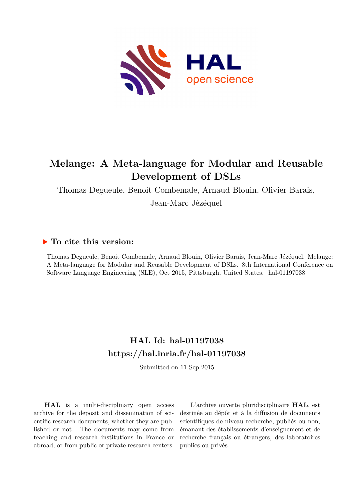

# **Melange: A Meta-language for Modular and Reusable Development of DSLs**

Thomas Degueule, Benoit Combemale, Arnaud Blouin, Olivier Barais,

Jean-Marc Jézéquel

## **To cite this version:**

Thomas Degueule, Benoit Combemale, Arnaud Blouin, Olivier Barais, Jean-Marc Jézéquel. Melange: A Meta-language for Modular and Reusable Development of DSLs. 8th International Conference on Software Language Engineering (SLE), Oct 2015, Pittsburgh, United States. hal-01197038

## **HAL Id: hal-01197038 <https://hal.inria.fr/hal-01197038>**

Submitted on 11 Sep 2015

**HAL** is a multi-disciplinary open access archive for the deposit and dissemination of scientific research documents, whether they are published or not. The documents may come from teaching and research institutions in France or abroad, or from public or private research centers.

L'archive ouverte pluridisciplinaire **HAL**, est destinée au dépôt et à la diffusion de documents scientifiques de niveau recherche, publiés ou non, émanant des établissements d'enseignement et de recherche français ou étrangers, des laboratoires publics ou privés.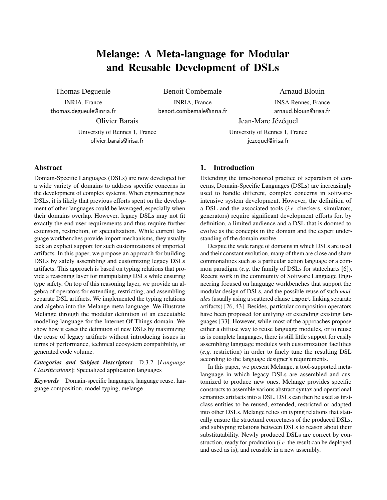## Melange: A Meta-language for Modular and Reusable Development of DSLs

Thomas Degueule

INRIA, France thomas.degueule@inria.fr

Benoit Combemale INRIA, France benoit.combemale@inria.fr Arnaud Blouin

INSA Rennes, France arnaud.blouin@irisa.fr

Olivier Barais

University of Rennes 1, France olivier.barais@irisa.fr

University of Rennes 1, France jezequel@irisa.fr

Jean-Marc Jézéquel

## Abstract

Domain-Specific Languages (DSLs) are now developed for a wide variety of domains to address specific concerns in the development of complex systems. When engineering new DSLs, it is likely that previous efforts spent on the development of other languages could be leveraged, especially when their domains overlap. However, legacy DSLs may not fit exactly the end user requirements and thus require further extension, restriction, or specialization. While current language workbenches provide import mechanisms, they usually lack an explicit support for such customizations of imported artifacts. In this paper, we propose an approach for building DSLs by safely assembling and customizing legacy DSLs artifacts. This approach is based on typing relations that provide a reasoning layer for manipulating DSLs while ensuring type safety. On top of this reasoning layer, we provide an algebra of operators for extending, restricting, and assembling separate DSL artifacts. We implemented the typing relations and algebra into the Melange meta-language. We illustrate Melange through the modular definition of an executable modeling language for the Internet Of Things domain. We show how it eases the definition of new DSLs by maximizing the reuse of legacy artifacts without introducing issues in terms of performance, technical ecosystem compatibility, or generated code volume.

*Categories and Subject Descriptors* D.3.2 [*Language Classifications*]: Specialized application languages

*Keywords* Domain-specific languages, language reuse, language composition, model typing, melange

## 1. Introduction

Extending the time-honored practice of separation of concerns, Domain-Specific Languages (DSLs) are increasingly used to handle different, complex concerns in softwareintensive system development. However, the definition of a DSL and the associated tools (*i.e.* checkers, simulators, generators) require significant development efforts for, by definition, a limited audience and a DSL that is doomed to evolve as the concepts in the domain and the expert understanding of the domain evolve.

Despite the wide range of domains in which DSLs are used and their constant evolution, many of them are close and share commonalities such as a particular action language or a common paradigm (*e.g.* the family of DSLs for statecharts [6]). Recent work in the community of Software Language Engineering focused on language workbenches that support the modular design of DSLs, and the possible reuse of such *modules* (usually using a scattered clause import linking separate artifacts) [26, 43]. Besides, particular composition operators have been proposed for unifying or extending existing languages [33]. However, while most of the approaches propose either a diffuse way to reuse language modules, or to reuse as is complete languages, there is still little support for easily assembling language modules with customization facilities (*e.g.* restriction) in order to finely tune the resulting DSL according to the language designer's requirements.

In this paper, we present Melange, a tool-supported metalanguage in which legacy DSLs are assembled and customized to produce new ones. Melange provides specific constructs to assemble various abstract syntax and operational semantics artifacts into a DSL. DSLs can then be used as firstclass entities to be reused, extended, restricted or adapted into other DSLs. Melange relies on typing relations that statically ensure the structural correctness of the produced DSLs, and subtyping relations between DSLs to reason about their substitutability. Newly produced DSLs are correct by construction, ready for production (*i.e.* the result can be deployed and used as is), and reusable in a new assembly.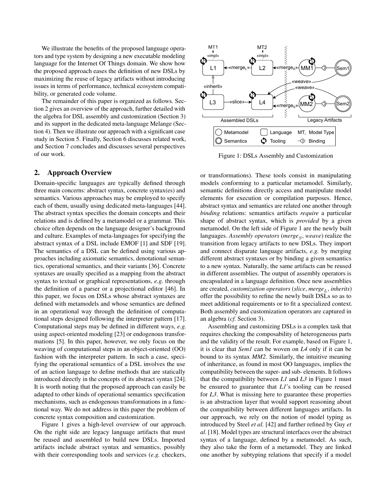We illustrate the benefits of the proposed language operators and type system by designing a new executable modeling language for the Internet Of Things domain. We show how the proposed approach eases the definition of new DSLs by maximizing the reuse of legacy artifacts without introducing issues in terms of performance, technical ecosystem compatibility, or generated code volume.

The remainder of this paper is organized as follows. Section 2 gives an overview of the approach, further detailed with the algebra for DSL assembly and customization (Section 3) and its support in the dedicated meta-language Melange (Section 4). Then we illustrate our approach with a significant case study in Section 5. Finally, Section 6 discusses related work, and Section 7 concludes and discusses several perspectives of our work.

## 2. Approach Overview

Domain-specific languages are typically defined through three main concerns: abstract syntax, concrete syntax(es) and semantics. Various approaches may be employed to specify each of them, usually using dedicated meta-languages [44]. The abstract syntax specifies the domain concepts and their relations and is defined by a metamodel or a grammar. This choice often depends on the language designer's background and culture. Examples of meta-languages for specifying the abstract syntax of a DSL include EMOF [1] and SDF [19]. The semantics of a DSL can be defined using various approaches including axiomatic semantics, denotational semantics, operational semantics, and their variants [36]. Concrete syntaxes are usually specified as a mapping from the abstract syntax to textual or graphical representations, *e.g.* through the definition of a parser or a projectional editor [46]. In this paper, we focus on DSLs whose abstract syntaxes are defined with metamodels and whose semantics are defined in an operational way through the definition of computational steps designed following the interpreter pattern [17]. Computational steps may be defined in different ways, *e.g.* using aspect-oriented modeling [23] or endogenous transformations [5]. In this paper, however, we only focus on the weaving of computational steps in an object-oriented (OO) fashion with the interpreter pattern. In such a case, specifying the operational semantics of a DSL involves the use of an action language to define methods that are statically introduced directly in the concepts of its abstract syntax [24]. It is worth noting that the proposed approach can easily be adapted to other kinds of operational semantics specification mechanisms, such as endogenous transformations in a functional way. We do not address in this paper the problem of concrete syntax composition and customization.

Figure 1 gives a high-level overview of our approach. On the right side are legacy language artifacts that must be reused and assembled to build new DSLs. Imported artifacts include abstract syntax and semantics, possibly with their corresponding tools and services (*e.g.* checkers,



Figure 1: DSLs Assembly and Customization

or transformations). These tools consist in manipulating models conforming to a particular metamodel. Similarly, semantic definitions directly access and manipulate model elements for execution or compilation purposes. Hence, abstract syntax and semantics are related one another through *binding* relations: semantics artifacts *require* a particular shape of abstract syntax, which is *provided* by a given metamodel. On the left side of Figure 1 are the newly built languages. *Assembly operators (merge<sub>S</sub>, weave)* realize the transition from legacy artifacts to new DSLs. They import and connect disparate language artifacts, *e.g.* by merging different abstract syntaxes or by binding a given semantics to a new syntax. Naturally, the same artifacts can be reused in different assemblies. The output of assembly operators is encapsulated in a language definition. Once new assemblies are created, *customization operators* (*slice*, *merge<sub>L</sub>*, *inherits*) offer the possibility to refine the newly built DSLs so as to meet additional requirements or to fit a specialized context. Both assembly and customization operators are captured in an algebra (*cf.* Section 3).

Assembling and customizing DSLs is a complex task that requires checking the composability of heterogeneous parts and the validity of the result. For example, based on Figure 1, it is clear that *Sem1* can be woven on *L4* only if it can be bound to its syntax *MM2*. Similarly, the intuitive meaning of inheritance, as found in most OO languages, implies the compatibility between the super- and sub- elements. It follows that the compatibility between *L1* and *L3* in Figure 1 must be ensured to guarantee that *L1*'s tooling can be reused for *L3*. What is missing here to guarantee these properties is an abstraction layer that would support reasoning about the compatibility between different languages artifacts. In our approach, we rely on the notion of model typing as introduced by Steel *et al.* [42] and further refined by Guy *et al.* [18]. Model types are structural interfaces over the abstract syntax of a language, defined by a metamodel. As such, they also take the form of a metamodel. They are linked one another by subtyping relations that specify if a model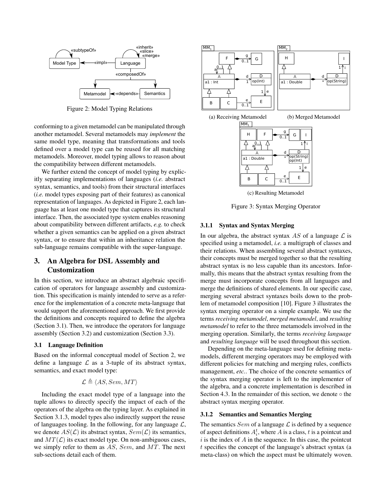

Figure 2: Model Typing Relations

conforming to a given metamodel can be manipulated through another metamodel. Several metamodels may *implement* the same model type, meaning that transformations and tools defined over a model type can be reused for all matching metamodels. Moreover, model typing allows to reason about the compatibility between different metamodels.

We further extend the concept of model typing by explicitly separating implementations of languages (*i.e.* abstract syntax, semantics, and tools) from their structural interfaces (*i.e.* model types exposing part of their features) as canonical representation of languages. As depicted in Figure 2, each language has at least one model type that captures its structural interface. Then, the associated type system enables reasoning about compatibility between different artifacts, *e.g.* to check whether a given semantics can be applied on a given abstract syntax, or to ensure that within an inheritance relation the sub-language remains compatible with the super-language.

## 3. An Algebra for DSL Assembly and Customization

In this section, we introduce an abstract algebraic specification of operators for language assembly and customization. This specification is mainly intended to serve as a reference for the implementation of a concrete meta-language that would support the aforementioned approach. We first provide the definitions and concepts required to define the algebra (Section 3.1). Then, we introduce the operators for language assembly (Section 3.2) and customization (Section 3.3).

#### 3.1 Language Definition

Based on the informal conceptual model of Section 2, we define a language  $\mathcal L$  as a 3-tuple of its abstract syntax, semantics, and exact model type:

$$
\mathcal{L} \triangleq \langle AS, Sem, MT \rangle
$$

Including the exact model type of a language into the tuple allows to directly specify the impact of each of the operators of the algebra on the typing layer. As explained in Section 3.1.3, model types also indirectly support the reuse of languages tooling. In the following, for any language  $\mathcal{L}$ , we denote  $AS(\mathcal{L})$  its abstract syntax,  $Sem(\mathcal{L})$  its semantics, and  $MT(\mathcal{L})$  its exact model type. On non-ambiguous cases, we simply refer to them as  $AS$ , Sem, and MT. The next sub-sections detail each of them.





(c) Resulting Metamodel

Figure 3: Syntax Merging Operator

#### 3.1.1 Syntax and Syntax Merging

In our algebra, the abstract syntax  $AS$  of a language  $\mathcal L$  is specified using a metamodel, *i.e.* a multigraph of classes and their relations. When assembling several abstract syntaxes, their concepts must be merged together so that the resulting abstract syntax is no less capable than its ancestors. Informally, this means that the abstract syntax resulting from the merge must incorporate concepts from all languages and merge the definitions of shared elements. In our specific case, merging several abstract syntaxes boils down to the problem of metamodel composition [10]. Figure 3 illustrates the syntax merging operator on a simple example. We use the terms *receiving metamodel*, *merged metamodel*, and *resulting metamodel* to refer to the three metamodels involved in the merging operation. Similarly, the terms *receiving language* and *resulting language* will be used throughout this section.

Depending on the meta-language used for defining metamodels, different merging operators may be employed with different policies for matching and merging rules, conflicts management, *etc.*. The choice of the concrete semantics of the syntax merging operator is left to the implementer of the algebra, and a concrete implementation is described in Section 4.3. In the remainder of this section, we denote  $\circ$  the abstract syntax merging operator.

#### 3.1.2 Semantics and Semantics Merging

The semantics  $Sem$  of a language  $\mathcal L$  is defined by a sequence of aspect definitions  $A_i^t$ , where A is a class, t is a pointcut and  $i$  is the index of A in the sequence. In this case, the pointcut t specifies the concept of the language's abstract syntax (a meta-class) on which the aspect must be ultimately woven.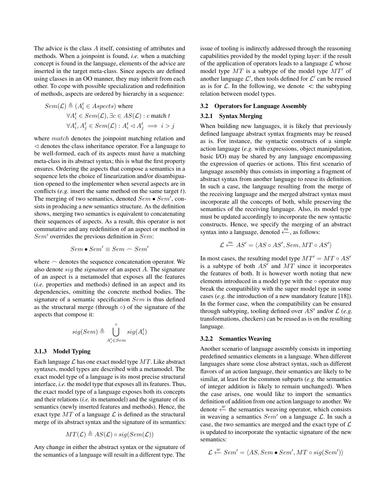The advice is the class A itself, consisting of attributes and methods. When a joinpoint is found, *i.e.* when a matching concept is found in the language, elements of the advice are inserted in the target meta-class. Since aspects are defined using classes in an OO manner, they may inherit from each other. To cope with possible specialization and redefinition of methods, aspects are ordered by hierarchy in a sequence:

$$
Sem(\mathcal{L}) \triangleq (A_i^t \in Aspects) \text{ where}
$$
  
\n
$$
\forall A_i^t \in Sem(\mathcal{L}), \exists c \in AS(\mathcal{L}): c \text{ match } t
$$
  
\n
$$
\forall A_i^t, A_j^t \in Sem(\mathcal{L}): A_i^t \lhd A_j^t \implies i > j
$$

where  $match$  denotes the joinpoint matching relation and  $\triangleleft$  denotes the class inheritance operator. For a language to be well-formed, each of its aspects must have a matching meta-class in its abstract syntax; this is what the first property ensures. Ordering the aspects that compose a semantics in a sequence lets the choice of linearization and/or disambiguation opened to the implementer when several aspects are in conflicts (*e.g.* insert the same method on the same target *t*). The merging of two semantics, denoted  $Sem \bullet Sem'$ , consists in producing a new semantics structure. As the definition shows, merging two semantics is equivalent to concatenating their sequences of aspects. As a result, this operator is not commutative and any redefinition of an aspect or method in  $Sem'$  overrides the previous definition in  $Sem$ :

$$
Sem \bullet Sem' \equiv Sem \frown Sem'
$$

where  $\sim$  denotes the sequence concatenation operator. We also denote sig the *signature* of an aspect A. The signature of an aspect is a metamodel that exposes all the features (*i.e.* properties and methods) defined in an aspect and its dependencies, omitting the concrete method bodies. The signature of a semantic specification Sem is thus defined as the structural merge (through ◦) of the signature of the aspects that compose it:

$$
sig(Sem) \triangleq \bigcup_{A_i^t \in Sem}^{\circ} sig(A_i^t)
$$

#### 3.1.3 Model Typing

Each language  $\mathcal L$  has one exact model type  $MT$ . Like abstract syntaxes, model types are described with a metamodel. The exact model type of a language is its most precise structural interface, *i.e.* the model type that exposes all its features. Thus, the exact model type of a language exposes both its concepts and their relations (*i.e.* its metamodel) and the signature of its semantics (newly inserted features and methods). Hence, the exact type  $MT$  of a language  $\mathcal L$  is defined as the structural merge of its abstract syntax and the signature of its semantics:

$$
MT(\mathcal{L}) \triangleq AS(\mathcal{L}) \circ sig(Sem(\mathcal{L}))
$$

Any change in either the abstract syntax or the signature of the semantics of a language will result in a different type. The issue of tooling is indirectly addressed through the reasoning capabilities provided by the model typing layer: if the result of the application of operators leads to a language  $\mathcal L$  whose model type  $MT$  is a subtype of the model type  $MT'$  of another language  $\mathcal{L}'$ , then tools defined for  $\mathcal{L}'$  can be reused as is for  $\mathcal L$ . In the following, we denote  $\lt$ : the subtyping relation between model types.

#### 3.2 Operators for Language Assembly

#### 3.2.1 Syntax Merging

When building new languages, it is likely that previously defined language abstract syntax fragments may be reused as is. For instance, the syntactic constructs of a simple action language (*e.g.* with expressions, object manipulation, basic I/O) may be shared by any language encompassing the expression of queries or actions. This first scenario of language assembly thus consists in importing a fragment of abstract syntax from another language to reuse its definition. In such a case, the language resulting from the merge of the receiving language and the merged abstract syntax must incorporate all the concepts of both, while preserving the semantics of the receiving language. Also, its model type must be updated accordingly to incorporate the new syntactic constructs. Hence, we specify the merging of an abstract syntax into a language, denoted  $\stackrel{m}{\leftarrow}$ , as follows:

$$
\mathcal{L} \xleftarrow{m} AS' = \langle AS \circ AS', Sem, MT \circ AS' \rangle
$$

In most cases, the resulting model type  $MT' = MT \circ AS'$ is a subtype of both  $AS'$  and  $MT$  since it incorporates the features of both. It is however worth noting that new elements introduced in a model type with the  $\circ$  operator may break the compatibility with the super model type in some cases (*e.g.* the introduction of a new mandatory feature [18]). In the former case, when the compatibility can be ensured through subtyping, tooling defined over  $AS'$  and/or  $\mathcal L$  (e.g. transformations, checkers) can be reused as is on the resulting language.

#### 3.2.2 Semantics Weaving

Another scenario of language assembly consists in importing predefined semantics elements in a language. When different languages share some close abstract syntax, such as different flavors of an action language, their semantics are likely to be similar, at least for the common subparts (*e.g.* the semantics of integer addition is likely to remain unchanged). When the case arises, one would like to import the semantics definition of addition from one action language to another. We denote  $\stackrel{w}{\leftarrow}$  the semantics weaving operator, which consists in weaving a semantics  $Sem'$  on a language  $L$ . In such a case, the two semantics are merged and the exact type of  $\mathcal L$ is updated to incorporate the syntactic signature of the new semantics:

$$
\mathcal{L} \xleftarrow{w} Sem' = \langle AS, Sem \bullet Sem', MT \circ sig(Sem') \rangle
$$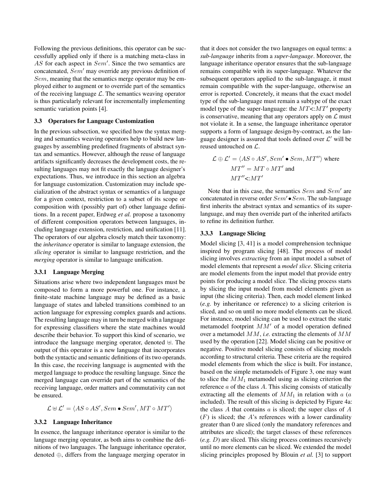Following the previous definitions, this operator can be successfully applied only if there is a matching meta-class in  $AS$  for each aspect in  $Sem'$ . Since the two semantics are concatenated,  $Sem'$  may override any previous definition of Sem, meaning that the semantics merge operator may be employed either to augment or to override part of the semantics of the receiving language  $\mathcal{L}$ . The semantics weaving operator is thus particularly relevant for incrementally implementing semantic variation points [4].

#### 3.3 Operators for Language Customization

In the previous subsection, we specified how the syntax merging and semantics weaving operators help to build new languages by assembling predefined fragments of abstract syntax and semantics. However, although the reuse of language artifacts significantly decreases the development costs, the resulting languages may not fit exactly the language designer's expectations. Thus, we introduce in this section an algebra for language customization. Customization may include specialization of the abstract syntax or semantics of a language for a given context, restriction to a subset of its scope or composition with (possibly part of) other language definitions. In a recent paper, Erdweg *et al.* propose a taxonomy of different composition operators between languages, including language extension, restriction, and unification [11]. The operators of our algebra closely match their taxonomy: the *inheritance* operator is similar to language extension, the *slicing* operator is similar to language restriction, and the *merging* operator is similar to language unification.

#### 3.3.1 Language Merging

Situations arise where two independent languages must be composed to form a more powerful one. For instance, a finite-state machine language may be defined as a basic language of states and labeled transitions combined to an action language for expressing complex guards and actions. The resulting language may in turn be merged with a language for expressing classifiers where the state machines would describe their behavior. To support this kind of scenario, we introduce the language merging operator, denoted  $\forall$ . The output of this operator is a new language that incorporates both the syntactic and semantic definitions of its two operands. In this case, the receiving language is augmented with the merged language to produce the resulting language. Since the merged language can override part of the semantics of the receiving language, order matters and commutativity can not be ensured.

$$
\mathcal{L} \uplus \mathcal{L}' = \langle AS \circ AS', Sem \bullet Sem', MT \circ MT' \rangle
$$

#### 3.3.2 Language Inheritance

In essence, the language inheritance operator is similar to the language merging operator, as both aims to combine the definitions of two languages. The language inheritance operator, denoted ⊕, differs from the language merging operator in

that it does not consider the two languages on equal terms: a *sub-language* inherits from a *super-language*. Moreover, the language inheritance operator ensures that the sub-language remains compatible with its super-language. Whatever the subsequent operators applied to the sub-language, it must remain compatible with the super-language, otherwise an error is reported. Concretely, it means that the exact model type of the sub-language must remain a subtype of the exact model type of the super-language: the  $MT <:MT'$  property is conservative, meaning that any operators apply on  $\mathcal L$  must not violate it. In a sense, the language inheritance operator supports a form of language design-by-contract, as the language designer is assured that tools defined over  $\mathcal{L}'$  will be reused untouched on L.

$$
\mathcal{L} \oplus \mathcal{L}' = \langle AS \circ AS', Sem' \bullet Sem, MT'' \rangle \text{ where}
$$
  

$$
MT'' = MT \circ MT' \text{ and}
$$
  

$$
MT'' \leq MT'
$$

Note that in this case, the semantics  $Sem$  and  $Sem'$  are concatenated in reverse order  $Sem' \bullet Sem$ . The sub-language first inherits the abstract syntax and semantics of its superlanguage, and may then override part of the inherited artifacts to refine its definition further.

#### 3.3.3 Language Slicing

Model slicing [3, 41] is a model comprehension technique inspired by program slicing [48]. The process of model slicing involves *extracting* from an input model a subset of model elements that represent a *model slice*. Slicing criteria are model elements from the input model that provide entry points for producing a model slice. The slicing process starts by slicing the input model from model elements given as input (the slicing criteria). Then, each model element linked (*e.g.* by inheritance or reference) to a slicing criterion is sliced, and so on until no more model elements can be sliced. For instance, model slicing can be used to extract the static metamodel footprint  $MM'$  of a model operation defined over a metamodel MM, *i.e.* extracting the elements of MM used by the operation [22]. Model slicing can be positive or negative. Positive model slicing consists of slicing models according to structural criteria. These criteria are the required model elements from which the slice is built. For instance, based on the simple metamodels of Figure 3, one may want to slice the  $MM_1$  metamodel using as slicing criterion the reference  $a$  of the class  $A$ . This slicing consists of statically extracting all the elements of  $MM_1$  in relation with a (a included). The result of this slicing is depicted by Figure 4a: the class  $A$  that contains  $a$  is sliced; the super class of  $A$  $(F)$  is sliced; the A's references with a lower cardinality greater than 0 are sliced (only the mandatory references and attributes are sliced); the target classes of these references (*e.g.* D) are sliced. This slicing process continues recursively until no more elements can be sliced. We extended the model slicing principles proposed by Blouin *et al.* [3] to support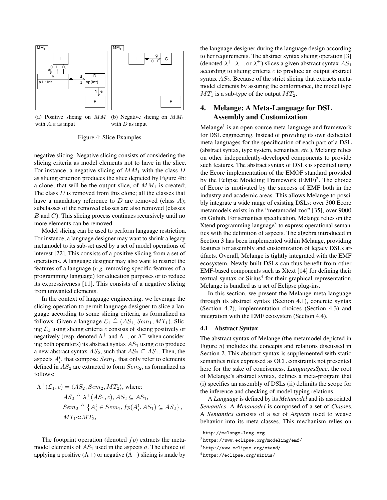

(a) Positive slicing on  $MM_1$  (b) Negative slicing on  $MM_1$ with  $A.a$  as input with  $D$  as input

Figure 4: Slice Examples

negative slicing. Negative slicing consists of considering the slicing criteria as model elements not to have in the slice. For instance, a negative slicing of  $MM_1$  with the class D as slicing criterion produces the slice depicted by Figure 4b: a clone, that will be the output slice, of  $MM_1$  is created; The class D is removed from this clone; all the classes that have a mandatory reference to  $D$  are removed (class  $A$ ); subclasses of the removed classes are also removed (classes  $B$  and  $C$ ). This slicing process continues recursively until no more elements can be removed.

Model slicing can be used to perform language restriction. For instance, a language designer may want to shrink a legacy metamodel to its sub-set used by a set of model operations of interest [22]. This consists of a positive slicing from a set of operations. A language designer may also want to restrict the features of a language (*e.g.* removing specific features of a programming language) for education purposes or to reduce its expressiveness [11]. This consists of a negative slicing from unwanted elements.

In the context of language engineering, we leverage the slicing operation to permit language designer to slice a language according to some slicing criteria, as formalized as follows. Given a language  $\mathcal{L}_1 \triangleq (AS_1, Sem_1, MT_1)$ . Slicing  $\mathcal{L}_1$  using slicing criteria c consists of slicing positively or negatively (resp. denoted  $\Lambda^+$  and  $\Lambda^-$ , or  $\Lambda^+$  when considering both operators) its abstract syntax  $AS_1$  using c to produce a new abstract syntax  $AS_2$ , such that  $AS_2 \subseteq AS_1$ . Then, the aspects  $A_i^t$ , that compose  $Sem_1$ , that only refer to elements defined in  $AS_2$  are extracted to form  $Sem_2$ , as formalized as follows:

$$
\Lambda^{\pm}_{-}(\mathcal{L}_1, c) = \langle AS_2, Sem_2, MT_2 \rangle, \text{ where:}
$$
  
\n
$$
AS_2 \triangleq \lambda^{\pm}_{-}(AS_1, c), AS_2 \subseteq AS_1,
$$
  
\n
$$
Sem_2 \triangleq \{A_i^t \in Sem_1, fp(A_i^t, AS_1) \subseteq AS_2\},
$$
  
\n
$$
MT_1 \leq MT_2,
$$

The footprint operation (denoted  $fp$ ) extracts the metamodel elements of  $AS<sub>1</sub>$  used in the aspects a. The choice of applying a positive  $(Λ+)$  or negative  $(Λ-)$  slicing is made by the language designer during the language design according to her requirements. The abstract syntax slicing operation [3] (denoted  $\lambda^+$ ,  $\lambda^-$ , or  $\lambda^+$ ) slices a given abstract syntax  $AS_1$ according to slicing criteria c to produce an output abstract syntax  $AS_2$ . Because of the strict slicing that extracts metamodel elements by assuring the conformance, the model type  $MT_1$  is a sub-type of the output  $MT_2$ .

## 4. Melange: A Meta-Language for DSL Assembly and Customization

Melange<sup>1</sup> is an open-source meta-language and framework for DSL engineering. Instead of providing its own dedicated meta-languages for the specification of each part of a DSL (abstract syntax, type system, semantics, *etc.*), Melange relies on other independently-developed components to provide such features. The abstract syntax of DSLs is specified using the Ecore implementation of the EMOF standard provided by the Eclipse Modeling Framework  $(EMF)^2$ . The choice of Ecore is motivated by the success of EMF both in the industry and academic areas. This allows Melange to possibly integrate a wide range of existing DSLs: over 300 Ecore metamodels exists in the "metamodel zoo" [35], over 9000 on Github. For semantics specification, Melange relies on the Xtend programming language<sup>3</sup> to express operational semantics with the definition of aspects. The algebra introduced in Section 3 has been implemented within Melange, providing features for assembly and customization of legacy DSLs artifacts. Overall, Melange is tightly integrated with the EMF ecosystem. Newly built DSLs can thus benefit from other EMF-based components such as Xtext [14] for defining their textual syntax or Sirius<sup>4</sup> for their graphical representation. Melange is bundled as a set of Eclipse plug-ins.

In this section, we present the Melange meta-language through its abstract syntax (Section 4.1), concrete syntax (Section 4.2), implementation choices (Section 4.3) and integration with the EMF ecosystem (Section 4.4).

#### 4.1 Abstract Syntax

The abstract syntax of Melange (the metamodel depicted in Figure 5) includes the concepts and relations discussed in Section 2. This abstract syntax is supplemented with static semantics rules expressed as OCL constraints not presented here for the sake of conciseness. *LanguagesSpec*, the root of Melange's abstract syntax, defines a meta-program that (i) specifies an assembly of DSLs (ii) delimits the scope for the inference and checking of model typing relations.

A *Language* is defined by its *Metamodel* and its associated *Semantics*. A *Metamodel* is composed of a set of *Class*es. A *Semantics* consists of a set of *Aspect*s used to weave behavior into its meta-classes. This mechanism relies on

 $^{\rm l}$ <http://melange-lang.org>

<sup>2</sup> <https://www.eclipse.org/modeling/emf/>

<sup>3</sup> <http://www.eclipse.org/xtend/>

<sup>4</sup> <https://eclipse.org/sirius/>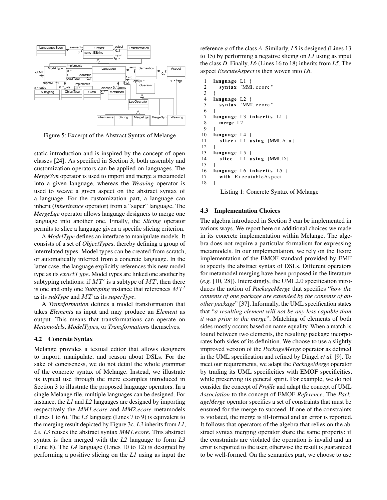

Figure 5: Excerpt of the Abstract Syntax of Melange

static introduction and is inspired by the concept of open classes [24]. As specified in Section 3, both assembly and customization operators can be applied on languages. The *MergeSyn* operator is used to import and merge a metamodel into a given language, whereas the *Weaving* operator is used to weave a given aspect on the abstract syntax of a language. For the customization part, a language can inherit (*Inheritance* operator) from a "super" language. The *MergeLge* operator allows language designers to merge one language into another one. Finally, the *Slicing* operator permits to slice a language given a specific slicing criterion.

A *ModelType* defines an interface to manipulate models. It consists of a set of *ObjectType*s, thereby defining a group of interrelated types. Model types can be created from scratch, or automatically inferred from a concrete language. In the latter case, the language explicitly references this new model type as its  $exactType$ . Model types are linked one another by subtyping relations: if  $MT'$  is a subtype of  $MT$ , then there is one and only one *Subtyping* instance that references  $MT'$ as its *subType* and MT as its *superType*.

A *Transformation* defines a model transformation that takes *Element*s as input and may produce an *Element* as output. This means that transformations can operate on *Metamodel*s, *ModelType*s, or *Transformation*s themselves.

### 4.2 Concrete Syntax

Melange provides a textual editor that allows designers to import, manipulate, and reason about DSLs. For the sake of conciseness, we do not detail the whole grammar of the concrete syntax of Melange. Instead, we illustrate its typical use through the mere examples introduced in Section 3 to illustrate the proposed language operators. In a single Melange file, multiple languages can be designed. For instance, the *L1* and *L2* languages are designed by importing respectively the *MM1.ecore* and *MM2.ecore* metamodels (Lines 1 to 6). The *L3* language (Lines 7 to 9) is equivalent to the merging result depicted by Figure 3c. *L3* inherits from *L1*, *i.e. L3* reuses the abstract syntax *MM1.ecore*. This abstract syntax is then merged with the *L2* language to form *L3* (Line 8). The *L4* language (Lines 10 to 12) is designed by performing a positive slicing on the *L1* using as input the

reference *a* of the class *A*. Similarly, *L5* is designed (Lines 13 to 15) by performing a negative slicing on *L1* using as input the class *D*. Finally, *L6* (Lines 16 to 18) inherits from *L5*. The aspect *ExecuteAspect* is then woven into *L6*.

```
1 language L1 {<br>2 syntax "MM
       syntax "MM1. ecore"
 \ensuremath{\mathfrak{Z}}4 language L2 {<br>5 syntax "MM2
       syntax "MM2. ecore"
 6 }
 7 language L3 inherits L1 {
 8 merge L2
\frac{9}{10}language L4 {
11 slice + L1 using [MM1.A.a]
12 }
13 language L5 {
14 slice - L1 using [MM1.D]
15 }
16 language L6 inherits L5 {
17 with Executable Aspect
18 }
```
Listing 1: Concrete Syntax of Melange

## 4.3 Implementation Choices

The algebra introduced in Section 3 can be implemented in various ways. We report here on additional choices we made in its concrete implementation within Melange. The algebra does not require a particular formalism for expressing metamodels. In our implementation, we rely on the Ecore implementation of the EMOF standard provided by EMF to specify the abstract syntax of DSLs. Different operators for metamodel merging have been proposed in the literature (*e.g.* [10, 28]). Interestingly, the UML2.0 specification introduces the notion of *PackageMerge* that specifies "*how the contents of one package are extended by the contents of another package*" [37]. Informally, the UML specification states that "*a resulting element will not be any less capable than it was prior to the merge*". Matching of elements of both sides mostly occurs based on name equality. When a match is found between two elements, the resulting package incorporates both sides of its definition. We choose to use a slightly improved version of the *PackageMerge* operator as defined in the UML specification and refined by Dingel *et al.* [9]. To meet our requirements, we adapt the *PackageMerge* operator by trading its UML specificities with EMOF specificities, while preserving its general spirit. For example, we do not consider the concept of *Profile* and adapt the concept of UML *Association* to the concept of EMOF *Reference*. The *PackageMerge* operator specifies a set of constraints that must be ensured for the merge to succeed. If one of the constraints is violated, the merge is ill-formed and an error is reported. It follows that operators of the algebra that relies on the abstract syntax merging operator share the same property: if the constraints are violated the operation is invalid and an error is reported to the user, otherwise the result is guaranteed to be well-formed. On the semantics part, we choose to use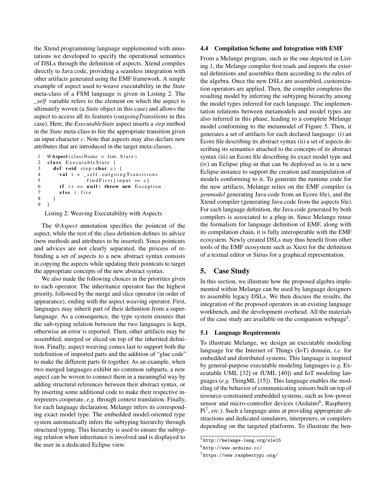the Xtend programming language supplemented with annotations we developed to specify the operational semantics of DSLs through the definition of aspects. Xtend compiles directly to Java code, providing a seamless integration with other artifacts generated using the EMF framework. A simple example of aspect used to weave executability in the *State* meta-class of a FSM language is given in Listing 2. The *\_self* variable refers to the element on which the aspect is ultimately woven (a *State* object in this case) and allows the aspect to access all its features (*outgoingTransitions* in this case). Here, the *ExecutableState* aspect inserts a *step* method in the *State* meta-class to fire the appropriate transition given an input character *c*. Note that aspects may also declare new attributes that are introduced in the target meta-classes.

```
1 @Aspect ( class Name = fsm . State )
2 class ExecutableState {
3 def void step (char c) {
4 val t = _{s}elf.outgoing Transitions
5 . find First [input == c]
6 if (t == null) throw new Exception
7 else t. fire
8 }
9 }
```
Listing 2: Weaving Executability with Aspects

The *@Aspect* annotation specifies the pointcut of the aspect, while the rest of the class definition defines its advice (new methods and attributes to be inserted). Since pointcuts and advices are not clearly separated, the process of rebinding a set of aspects to a new abstract syntax consists in copying the aspects while updating their pointcuts to target the appropriate concepts of the new abstract syntax.

We also made the following choices in the priorities given to each operator. The inheritance operator has the highest priority, followed by the merge and slice operator (in order of appearance), ending with the aspect weaving operator. First, languages may inherit part of their definition from a superlanguage. As a consequence, the type system ensures that the sub-typing relation between the two languages is kept, otherwise an error is reported. Then, other artifacts may be assembled, merged or sliced on top of the inherited definition. Finally, aspect weaving comes last to support both the redefinition of imported parts and the addition of "glue code" to make the different parts fit together. As an example, when two merged languages exhibit no common subparts, a new aspect can be woven to connect them in a meaningful way by adding structural references between their abstract syntax, or by inserting some additional code to make their respective interpreters cooperate, *e.g.* through context translation. Finally, for each language declaration, Melange infers its corresponding exact model type. The embedded model-oriented type system automatically infers the subtyping hierarchy through structural typing. This hierarchy is used to ensure the subtyping relation when inheritance is involved and is displayed to the user in a dedicated Eclipse view.

#### 4.4 Compilation Scheme and Integration with EMF

From a Melange program, such as the one depicted in Listing 1, the Melange compiler first reads and imports the external definitions and assembles them according to the rules of the algebra. Once the new DSLs are assembled, customization operators are applied. Then, the compiler completes the resulting model by inferring the subtyping hierarchy among the model types inferred for each language. The implementation relations between metamodels and model types are also inferred in this phase, leading to a complete Melange model conforming to the metamodel of Figure 5. Then, it generates a set of artifacts for each declared language: (i) an Ecore file describing its abstract syntax (ii) a set of aspects describing its semantics attached to the concepts of its abstract syntax (iii) an Ecore file describing its exact model type and (iv) an Eclipse plug-in that can be deployed as is in a new Eclipse instance to support the creation and manipulation of models conforming to it. To generate the runtime code for the new artifacts, Melange relies on the EMF compiler (a *genmodel* generating Java code from an Ecore file), and the Xtend compiler (generating Java code from the aspects file). For each language definition, the Java code generated by both compilers is associated to a plug-in. Since Melange reuse the formalism for language definition of EMF, along with its compilation chain, it is fully interoperable with the EMF ecosystem. Newly created DSLs may thus benefit from other tools of the EMF ecosystem such as Xtext for the definition of a textual editor or Sirius for a graphical representation.

## 5. Case Study

In this section, we illustrate how the proposed algebra implemented within Melange can be used by language designers to assemble legacy DSLs. We then discuss the results, the integration of the proposed operators in an existing language workbench, and the development overhead. All the materials of the case study are available on the companion webpage<sup>5</sup>.

#### 5.1 Language Requirements

To illustrate Melange, we design an executable modeling language for the Internet of Things (IoT) domain, *i.e.* for embedded and distributed systems. This language is inspired by general-purpose executable modeling languages (*e.g.* Executable UML [32] or fUML [40]) and IoT modeling languages (*e.g.* ThingML [15]). This language enables the modeling of the behavior of communicating sensors built on top of resource-constrained embedded systems, such as low-power sensor and micro-controller devices (Arduino<sup>6</sup>, Raspberry Pi<sup>7</sup>, etc.). Such a language aims at providing appropriate abstractions and dedicated simulators, interpreters, or compilers depending on the targeted platforms. To illustrate the ben-

 $5$ <http://melange-lang.org/sle15>

 $^6$ <http://www.arduino.cc/>

 $7$ <https://www.raspberrypi.org/>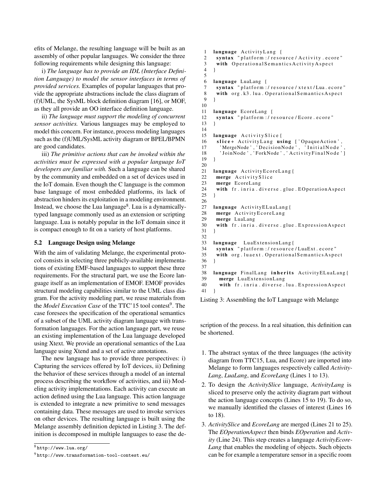efits of Melange, the resulting language will be built as an assembly of other popular languages. We consider the three following requirements while designing this language:

i) *The language has to provide an IDL (Interface Definition Language) to model the sensor interfaces in terms of provided services.* Examples of popular languages that provide the appropriate abstractions include the class diagram of (f)UML, the SysML block definition diagram [16], or MOF, as they all provide an OO interface definition language.

ii) *The language must support the modeling of concurrent sensor activities.* Various languages may be employed to model this concern. For instance, process modeling languages such as the (f)UML/SysML activity diagram or BPEL/BPMN are good candidates.

iii) *The primitive actions that can be invoked within the activities must be expressed with a popular language IoT developers are familiar with.* Such a language can be shared by the community and embedded on a set of devices used in the IoT domain. Even though the C language is the common base language of most embedded platforms, its lack of abstraction hinders its exploitation in a modeling environment. Instead, we choose the Lua language<sup>8</sup>. Lua is a dynamicallytyped language commonly used as an extension or scripting language. Lua is notably popular in the IoT domain since it is compact enough to fit on a variety of host platforms.

## 5.2 Language Design using Melange

With the aim of validating Melange, the experimental protocol consists in selecting three publicly-available implementations of existing EMF-based languages to support these three requirements. For the structural part, we use the Ecore language itself as an implementation of EMOF. EMOF provides structural modeling capabilities similar to the UML class diagram. For the activity modeling part, we reuse materials from the *Model Execution Case* of the TTC'15 tool contest<sup>9</sup>. The case foresees the specification of the operational semantics of a subset of the UML activity diagram language with transformation languages. For the action language part, we reuse an existing implementation of the Lua language developed using Xtext. We provide an operational semantics of the Lua language using Xtend and a set of active annotations.

The new language has to provide three perspectives: i) Capturing the services offered by IoT devices, ii) Defining the behavior of these services through a model of an internal process describing the workflow of activities, and iii) Modeling activity implementations. Each activity can execute an action defined using the Lua language. This action language is extended to integrate a new primitive to send messages containing data. These messages are used to invoke services on other devices. The resulting language is built using the Melange assembly definition depicted in Listing 3. The definition is decomposed in multiple languages to ease the de-

```
8http://www.lua.org/
```

```
9 http://www.transformation-tool-contest.eu/
```

```
1 language ActivityLang {
2 syntax "platform :/ resource/Activity.ecore"
3 with Operational Semantics Activity Aspect
 4 }
5
 6 language LuaLang {
 7 syntax " platform :/ resource/xtext/Lua.ecore"<br>8 with org.k3.lua.OperationalSemanticsAspect
     with org. k3. lua. Operational Semantics Aspect
9 }
10
11 language EcoreLang {
12 syntax "platform :/ resource/Ecore.ecore"
13 }
\frac{14}{15}15 language Activity Slice {<br>16 slice + Activity Lang us
      slice+ ActivityLang using ['OpaqueAction',
17 'MergeNode', 'DecisionNode', 'InitialNode',
18 'JoinNode', 'ForkNode', 'ActivityFinalNode']
19 }
20
21 language Activity EcoreLang{
22 merge Activity Slice<br>23 merge EcoreLang
     merge EcoreLang
24 with fr. inria. diverse.glue. EOperationAspect
25 }
26
27 language Activity ELuaLang {
28 merge Activity EcoreLang
29 merge LuaLang
30 with fr. inria. diverse.glue. Expression A spect
31 \quad \}32
33 language LuaExtensionLang{
34 syntax "platform:/resource/LuaExt.ecore"
35 with org. luaext. Operational Semantics Aspect
36 \quad37
38 language FinalLang inherits Activity ELuaLang {<br>39 merge Lua Extension Lang
       merge LuaExtensionLang
40 with fr. inria. diverse. lua. Expression A spect
41 }
```
Listing 3: Assembling the IoT Language with Melange

scription of the process. In a real situation, this definition can be shortened.

- 1. The abstract syntax of the three languages (the activity diagram from TTC15, Lua, and Ecore) are imported into Melange to form languages respectively called *Activity-Lang*, *LuaLang*, and *EcoreLang* (Lines 1 to 13).
- 2. To design the *ActivitySlice* language, *ActivityLang* is sliced to preserve only the activity diagram part without the action language concepts (Lines 15 to 19). To do so, we manually identified the classes of interest (Lines 16 to 18).
- 3. *ActivitySlice* and *EcoreLang* are merged (Lines 21 to 25). The *EOperationAspect* then binds *EOperation* and *Activity* (Line 24). This step creates a language *ActivityEcore-Lang* that enables the modeling of objects. Such objects can be for example a temperature sensor in a specific room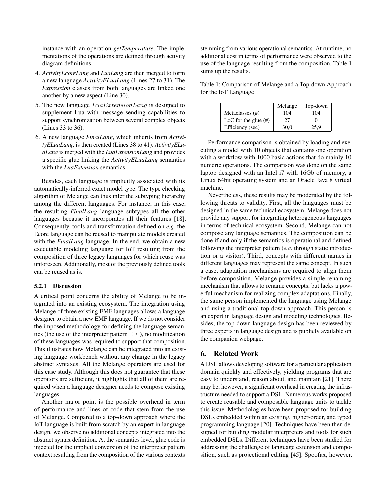instance with an operation *getTemperature*. The implementations of the operations are defined through activity diagram definitions.

- 4. *ActivityEcoreLang* and *LuaLang* are then merged to form a new language *ActivityELuaLang* (Lines 27 to 31). The *Expression* classes from both languages are linked one another by a new aspect (Line 30).
- 5. The new language  $LuaExtensionLang$  is designed to supplement Lua with message sending capabilities to support synchronization between several complex objects (Lines 33 to 36).
- 6. A new language *FinalLang*, which inherits from *ActivityELuaLang*, is then created (Lines 38 to 41). *ActivityELuaLang* is merged with the *LuaExtensionLang* and provides a specific glue linking the *ActivityELuaLang* semantics with the *LuaExtension* semantics.

Besides, each language is implicitly associated with its automatically-inferred exact model type. The type checking algorithm of Melange can thus infer the subtyping hierarchy among the different languages. For instance, in this case, the resulting *FinalLang* language subtypes all the other languages because it incorporates all their features [18]. Consequently, tools and transformation defined on *e.g.* the Ecore language can be reused to manipulate models created with the *FinalLang* language. In the end, we obtain a new executable modeling language for IoT resulting from the composition of three legacy languages for which reuse was unforeseen. Additionally, most of the previously defined tools can be reused as is.

#### 5.2.1 Discussion

A critical point concerns the ability of Melange to be integrated into an existing ecosystem. The integration using Melange of three existing EMF languages allows a language designer to obtain a new EMF language. If we do not consider the imposed methodology for defining the language semantics (the use of the interpreter pattern [17]), no modification of these languages was required to support that composition. This illustrates how Melange can be integrated into an existing language workbench without any change in the legacy abstract syntaxes. All the Melange operators are used for this case study. Although this does not guarantee that these operators are sufficient, it highlights that all of them are required when a language designer needs to compose existing languages.

Another major point is the possible overhead in term of performance and lines of code that stem from the use of Melange. Compared to a top-down approach where the IoT language is built from scratch by an expert in language design, we observe no additional concepts integrated into the abstract syntax definition. At the semantics level, glue code is injected for the implicit conversion of the interpreter pattern context resulting from the composition of the various contexts

stemming from various operational semantics. At runtime, no additional cost in terms of performance were observed to the use of the language resulting from the composition. Table 1 sums up the results.

Table 1: Comparison of Melange and a Top-down Approach for the IoT Language

|                         | Melange | Top-down |
|-------------------------|---------|----------|
| Metaclasses (#)         | 104     | 104      |
| LoC for the glue $(\#)$ | 27      |          |
| Efficiency (sec)        | 30.0    | 25.9     |

Performance comparison is obtained by loading and executing a model with 10 objects that contains one operation with a workflow with 1000 basic actions that do mainly 10 numeric operations. The comparison was done on the same laptop designed with an Intel i7 with 16Gb of memory, a Linux 64bit operating system and an Oracle Java 8 virtual machine.

Nevertheless, these results may be moderated by the following threats to validity. First, all the languages must be designed in the same technical ecosystem. Melange does not provide any support for integrating heterogeneous languages in terms of technical ecosystem. Second, Melange can not compose any language semantics. The composition can be done if and only if the semantics is operational and defined following the interpreter pattern (*e.g.* through static introduction or a visitor). Third, concepts with different names in different languages may represent the same concept. In such a case, adaptation mechanisms are required to align them before composition. Melange provides a simple renaming mechanism that allows to rename concepts, but lacks a powerful mechanism for realizing complex adaptations. Finally, the same person implemented the language using Melange and using a traditional top-down approach. This person is an expert in language design and modeling technologies. Besides, the top-down language design has been reviewed by three experts in language design and is publicly available on the companion webpage.

## 6. Related Work

A DSL allows developing software for a particular application domain quickly and effectively, yielding programs that are easy to understand, reason about, and maintain [21]. There may be, however, a significant overhead in creating the infrastructure needed to support a DSL. Numerous works proposed to create reusable and composable language units to tackle this issue. Methodologies have been proposed for building DSLs embedded within an existing, higher-order, and typed programming language [20]. Techniques have been then designed for building modular interpreters and tools for such embedded DSLs. Different techniques have been studied for addressing the challenge of language extension and composition, such as projectional editing [45]. Spoofax, however,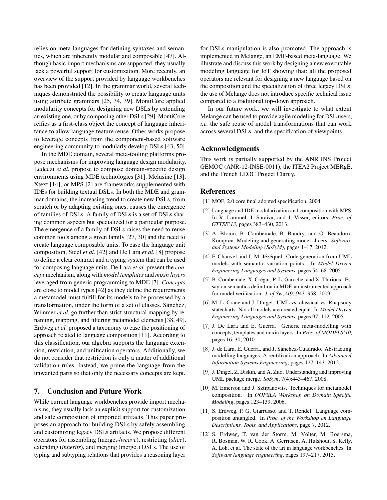relies on meta-languages for defining syntaxes and semantics, which are inherently modular and composable [47]. Although basic import mechanisms are supported, they usually lack a powerful support for customization. More recently, an overview of the support provided by language workbenches has been provided [12]. In the grammar world, several techniques demonstrated the possibility to create language units using attribute grammars [25, 34, 39]. MontiCore applied modularity concepts for designing new DSLs by extending an existing one, or by composing other DSLs [29]. MontiCore reifies as a first-class object the concept of language inheritance to allow language feature reuse. Other works propose to leverage concepts from the component-based software engineering community to modularly develop DSLs [43, 50].

In the MDE domain, several meta-tooling platforms propose mechanisms for improving language design modularity. Ledeczi *et al.* propose to compose domain-specific design environments using MDE technologies [31]. Melusine [13], Xtext [14], or MPS [2] are frameworks supplemented with IDEs for building textual DSLs. In both the MDE and grammar domains, the increasing trend to create new DSLs, from scratch or by adapting existing ones, causes the emergence of families of DSLs. A family of DSLs is a set of DSLs sharing common aspects but specialized for a particular purpose. The emergence of a family of DSLs raises the need to reuse common tools among a given family [27, 30] and the need to create language composable units. To ease the language unit composition, Steel *et al.* [42] and De Lara *et al.* [8] propose to define a clear contract and a typing system that can be used for composing language units. De Lara *et al.* present the *concept* mechanism, along with *model templates* and *mixin layers* leveraged from generic programming to MDE [7]. *Concepts* are close to model types [42] as they define the requirements a metamodel must fulfill for its models to be processed by a transformation, under the form of a set of classes. Sánchez, Wimmer *et al.* go further than strict structural mapping by renaming, mapping, and filtering metamodel elements [38, 49]. Erdweg *et al.* proposed a taxonomy to ease the positioning of approach related to language composition [11]. According to this classification, our algebra supports the language extension, restriction, and unification operators. Additionally, we do not consider that restriction is only a matter of additional validation rules. Instead, we prune the language from the unwanted parts so that only the necessary concepts are kept.

## 7. Conclusion and Future Work

While current language workbenches provide import mechanisms, they usually lack an explicit support for customization and safe composition of imported artifacts. This paper proposes an approach for building DSLs by safely assembling and customizing legacy DSLs artifacts. We propose different operators for assembling (merge<sub>S</sub>/weave), restricting (*slice*), extending (*inherits*), and merging (merge $_l$ ) DSLs. The use of typing and subtyping relations that provides a reasoning layer for DSLs manipulation is also promoted. The approach is implemented in Melange, an EMF-based meta-language. We illustrate and discuss this work by designing a new executable modeling language for IoT showing that: all the proposed operators are relevant for designing a new language based on the composition and the specialization of three legacy DSLs; the use of Melange does not introduce specific technical issue compared to a traditional top-down approach.

In our future work, we will investigate to what extent Melange can be used to provide agile modeling for DSL users, *i.e.* the safe reuse of model transformations that can work across several DSLs, and the specification of viewpoints.

## Acknowledgments

This work is partially supported by the ANR INS Project GEMOC (ANR-12-INSE-0011), the ITEA2 Project MERgE, and the French LEOC Project Clarity.

## References

- [1] MOF, 2.0 core final adopted specification, 2004.
- [2] Language and IDE modularization and composition with MPS. In R. Lämmel, J. Saraiva, and J. Visser, editors, *Proc. of GTTSE'13*, pages 383–430, 2013.
- [3] A. Blouin, B. Combemale, B. Baudry, and O. Beaudoux. Kompren: Modeling and generating model slicers. *Software and Systems Modeling (SoSyM)*, pages 1–17, 2012.
- [4] F. Chauvel and J.-M. Jézéquel. Code generation from UML models with semantic variation points. In *Model Driven Engineering Languages and Systems*, pages 54–68. 2005.
- [5] B. Combemale, X. Crégut, P.-L. Garoche, and X. Thirioux. Essay on semantics definition in MDE-an instrumented approach for model verification. *J. of Sw*, 4(9):943–958, 2009.
- [6] M. L. Crane and J. Dingel. UML vs. classical vs. Rhapsody statecharts: Not all models are created equal. In *Model Driven Engineering Languages and Systems*, pages 97–112. 2005.
- [7] J. De Lara and E. Guerra. Generic meta-modelling with concepts, templates and mixin layers. In *Proc. of MODELS'10*, pages 16–30, 2010.
- [8] J. de Lara, E. Guerra, and J. Sánchez-Cuadrado. Abstracting modelling languages: A reutilization approach. In *Advanced Information Systems Engineering*, pages 127–143. 2012.
- [9] J. Dingel, Z. Diskin, and A. Zito. Understanding and improving UML package merge. *SoSym*, 7(4):443–467, 2008.
- [10] M. Emerson and J. Sztipanovits. Techniques for metamodel composition. In *OOPSLA Workshop on Domain Specific Modeling*, pages 123–139, 2006.
- [11] S. Erdweg, P. G. Giarrusso, and T. Rendel. Language composition untangled. In *Proc. of the Workshop on Language Descriptions, Tools, and Applications*, page 7, 2012.
- [12] S. Erdweg, T. van der Storm, M. Völter, M. Boersma, R. Bosman, W. R. Cook, A. Gerritsen, A. Hulshout, S. Kelly, A. Loh, et al. The state of the art in language workbenches. In *Software language engineering*, pages 197–217. 2013.